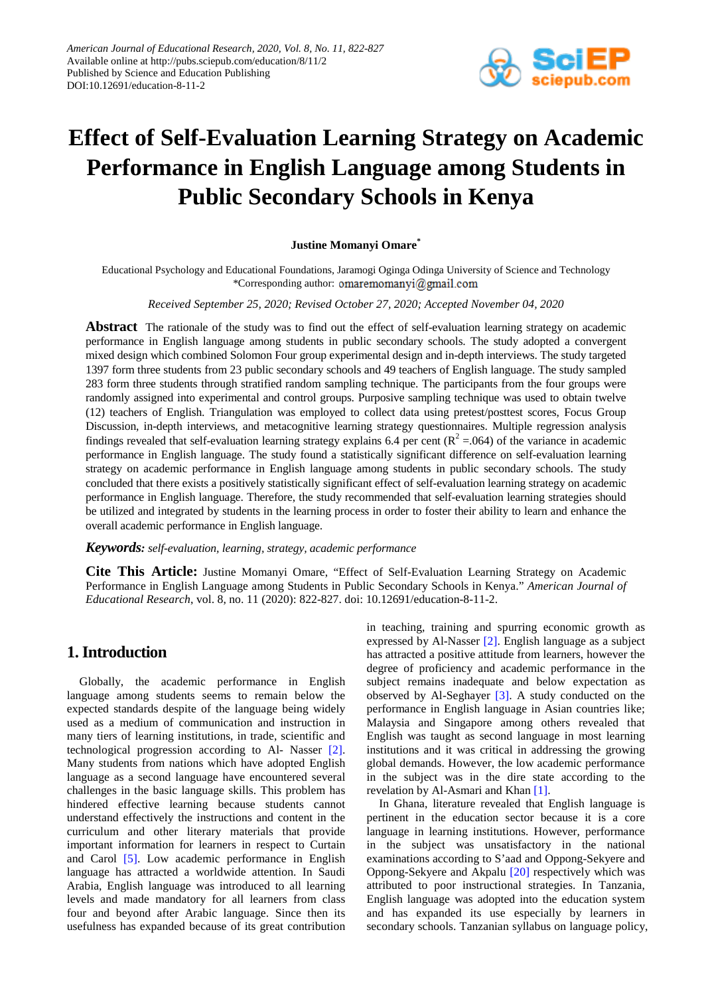

# **Effect of Self-Evaluation Learning Strategy on Academic Performance in English Language among Students in Public Secondary Schools in Kenya**

#### **Justine Momanyi Omare\***

Educational Psychology and Educational Foundations, Jaramogi Oginga Odinga University of Science and Technology \*Corresponding author: omaremomanyi@gmail.com

#### *Received September 25, 2020; Revised October 27, 2020; Accepted November 04, 2020*

**Abstract** The rationale of the study was to find out the effect of self-evaluation learning strategy on academic performance in English language among students in public secondary schools. The study adopted a convergent mixed design which combined Solomon Four group experimental design and in-depth interviews. The study targeted 1397 form three students from 23 public secondary schools and 49 teachers of English language. The study sampled 283 form three students through stratified random sampling technique. The participants from the four groups were randomly assigned into experimental and control groups. Purposive sampling technique was used to obtain twelve (12) teachers of English. Triangulation was employed to collect data using pretest/posttest scores, Focus Group Discussion, in-depth interviews, and metacognitive learning strategy questionnaires. Multiple regression analysis findings revealed that self-evaluation learning strategy explains 6.4 per cent ( $\mathbb{R}^2 = 0.064$ ) of the variance in academic performance in English language. The study found a statistically significant difference on self-evaluation learning strategy on academic performance in English language among students in public secondary schools. The study concluded that there exists a positively statistically significant effect of self-evaluation learning strategy on academic performance in English language. Therefore, the study recommended that self-evaluation learning strategies should be utilized and integrated by students in the learning process in order to foster their ability to learn and enhance the overall academic performance in English language.

#### *Keywords: self-evaluation, learning, strategy, academic performance*

**Cite This Article:** Justine Momanyi Omare, "Effect of Self-Evaluation Learning Strategy on Academic Performance in English Language among Students in Public Secondary Schools in Kenya." *American Journal of Educational Research*, vol. 8, no. 11 (2020): 822-827. doi: 10.12691/education-8-11-2.

## **1. Introduction**

Globally, the academic performance in English language among students seems to remain below the expected standards despite of the language being widely used as a medium of communication and instruction in many tiers of learning institutions, in trade, scientific and technological progression according to Al- Nasser [\[2\].](#page-5-0) Many students from nations which have adopted English language as a second language have encountered several challenges in the basic language skills. This problem has hindered effective learning because students cannot understand effectively the instructions and content in the curriculum and other literary materials that provide important information for learners in respect to Curtain and Carol [\[5\].](#page-5-1) Low academic performance in English language has attracted a worldwide attention. In Saudi Arabia, English language was introduced to all learning levels and made mandatory for all learners from class four and beyond after Arabic language. Since then its usefulness has expanded because of its great contribution in teaching, training and spurring economic growth as expressed by Al-Nasser [\[2\].](#page-5-0) English language as a subject has attracted a positive attitude from learners, however the degree of proficiency and academic performance in the subject remains inadequate and below expectation as observed by Al-Seghayer [\[3\].](#page-5-2) A study conducted on the performance in English language in Asian countries like; Malaysia and Singapore among others revealed that English was taught as second language in most learning institutions and it was critical in addressing the growing global demands. However, the low academic performance in the subject was in the dire state according to the revelation by Al-Asmari and Kha[n \[1\].](#page-5-3)

In Ghana, literature revealed that English language is pertinent in the education sector because it is a core language in learning institutions. However, performance in the subject was unsatisfactory in the national examinations according to S'aad and Oppong-Sekyere and Oppong-Sekyere and Akpalu [\[20\]](#page-5-4) respectively which was attributed to poor instructional strategies. In Tanzania, English language was adopted into the education system and has expanded its use especially by learners in secondary schools. Tanzanian syllabus on language policy,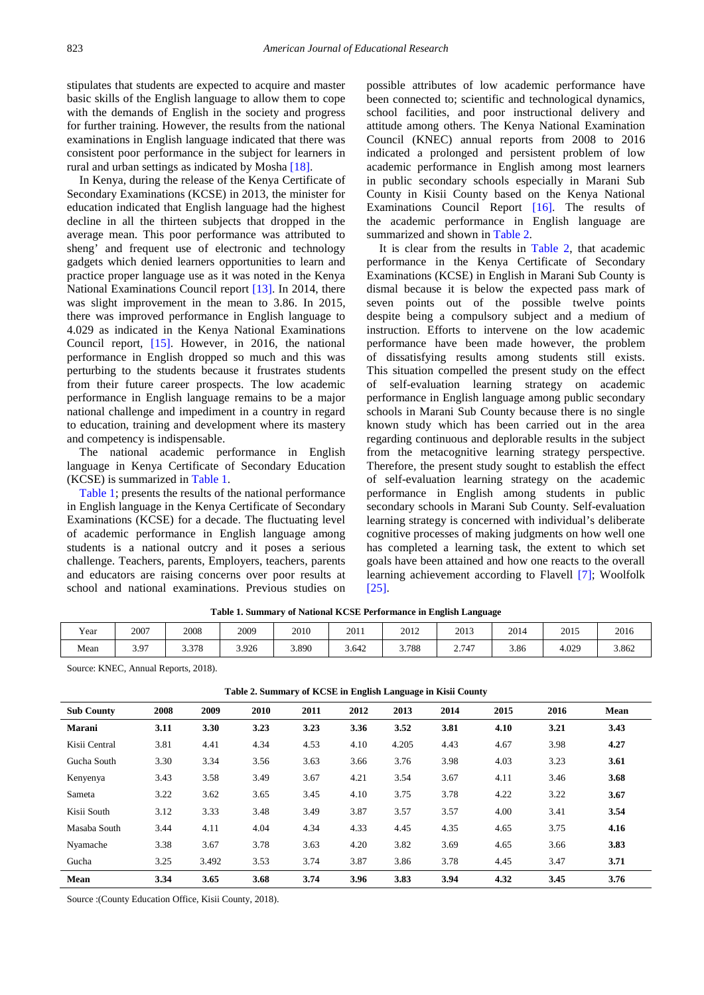stipulates that students are expected to acquire and master basic skills of the English language to allow them to cope with the demands of English in the society and progress for further training. However, the results from the national examinations in English language indicated that there was consistent poor performance in the subject for learners in rural and urban settings as indicated by Mosha [\[18\].](#page-5-5)

In Kenya, during the release of the Kenya Certificate of Secondary Examinations (KCSE) in 2013, the minister for education indicated that English language had the highest decline in all the thirteen subjects that dropped in the average mean. This poor performance was attributed to sheng' and frequent use of electronic and technology gadgets which denied learners opportunities to learn and practice proper language use as it was noted in the Kenya National Examinations Council report [\[13\].](#page-5-6) In 2014, there was slight improvement in the mean to 3.86. In 2015, there was improved performance in English language to 4.029 as indicated in the Kenya National Examinations Council report, [\[15\].](#page-5-7) However, in 2016, the national performance in English dropped so much and this was perturbing to the students because it frustrates students from their future career prospects. The low academic performance in English language remains to be a major national challenge and impediment in a country in regard to education, training and development where its mastery and competency is indispensable.

The national academic performance in English language in Kenya Certificate of Secondary Education (KCSE) is summarized in [Table 1.](#page-1-0)

[Table 1;](#page-1-0) presents the results of the national performance in English language in the Kenya Certificate of Secondary Examinations (KCSE) for a decade. The fluctuating level of academic performance in English language among students is a national outcry and it poses a serious challenge. Teachers, parents, Employers, teachers, parents and educators are raising concerns over poor results at school and national examinations. Previous studies on

possible attributes of low academic performance have been connected to; scientific and technological dynamics, school facilities, and poor instructional delivery and attitude among others. The Kenya National Examination Council (KNEC) annual reports from 2008 to 2016 indicated a prolonged and persistent problem of low academic performance in English among most learners in public secondary schools especially in Marani Sub County in Kisii County based on the Kenya National Examinations Council Report [\[16\].](#page-5-8) The results of the academic performance in English language are summarized and shown in [Table 2.](#page-1-1)

It is clear from the results in [Table 2,](#page-1-1) that academic performance in the Kenya Certificate of Secondary Examinations (KCSE) in English in Marani Sub County is dismal because it is below the expected pass mark of seven points out of the possible twelve points despite being a compulsory subject and a medium of instruction. Efforts to intervene on the low academic performance have been made however, the problem of dissatisfying results among students still exists. This situation compelled the present study on the effect of self-evaluation learning strategy on academic performance in English language among public secondary schools in Marani Sub County because there is no single known study which has been carried out in the area regarding continuous and deplorable results in the subject from the metacognitive learning strategy perspective. Therefore, the present study sought to establish the effect of self-evaluation learning strategy on the academic performance in English among students in public secondary schools in Marani Sub County. Self-evaluation learning strategy is concerned with individual's deliberate cognitive processes of making judgments on how well one has completed a learning task, the extent to which set goals have been attained and how one reacts to the overall learning achievement according to Flavell [\[7\];](#page-5-9) Woolfolk [\[25\].](#page-5-10)

<span id="page-1-0"></span>

| Year | 2007 | 2008  | 2009  | 2010  | 2011  | 2012  | 2013  | 2014 | 2015  | 2016  |
|------|------|-------|-------|-------|-------|-------|-------|------|-------|-------|
| Mean | 3.97 | 3.378 | 3.926 | 3.890 | 3.642 | 3.788 | 2.747 | 3.86 | 4.029 | 3.862 |

**Table 1. Summary of National KCSE Performance in English Language**

Source: KNEC, Annual Reports, 2018).

<span id="page-1-1"></span>

| <b>Sub County</b> | 2008 | 2009  | 2010 | 2011 | 2012 | 2013  | 2014 | 2015 | 2016 | Mean |
|-------------------|------|-------|------|------|------|-------|------|------|------|------|
| Marani            | 3.11 | 3.30  | 3.23 | 3.23 | 3.36 | 3.52  | 3.81 | 4.10 | 3.21 | 3.43 |
| Kisii Central     | 3.81 | 4.41  | 4.34 | 4.53 | 4.10 | 4.205 | 4.43 | 4.67 | 3.98 | 4.27 |
| Gucha South       | 3.30 | 3.34  | 3.56 | 3.63 | 3.66 | 3.76  | 3.98 | 4.03 | 3.23 | 3.61 |
| Kenyenya          | 3.43 | 3.58  | 3.49 | 3.67 | 4.21 | 3.54  | 3.67 | 4.11 | 3.46 | 3.68 |
| Sameta            | 3.22 | 3.62  | 3.65 | 3.45 | 4.10 | 3.75  | 3.78 | 4.22 | 3.22 | 3.67 |
| Kisii South       | 3.12 | 3.33  | 3.48 | 3.49 | 3.87 | 3.57  | 3.57 | 4.00 | 3.41 | 3.54 |
| Masaba South      | 3.44 | 4.11  | 4.04 | 4.34 | 4.33 | 4.45  | 4.35 | 4.65 | 3.75 | 4.16 |
| Nyamache          | 3.38 | 3.67  | 3.78 | 3.63 | 4.20 | 3.82  | 3.69 | 4.65 | 3.66 | 3.83 |
| Gucha             | 3.25 | 3.492 | 3.53 | 3.74 | 3.87 | 3.86  | 3.78 | 4.45 | 3.47 | 3.71 |
| Mean              | 3.34 | 3.65  | 3.68 | 3.74 | 3.96 | 3.83  | 3.94 | 4.32 | 3.45 | 3.76 |

**Table 2. Summary of KCSE in English Language in Kisii County**

Source :(County Education Office, Kisii County, 2018).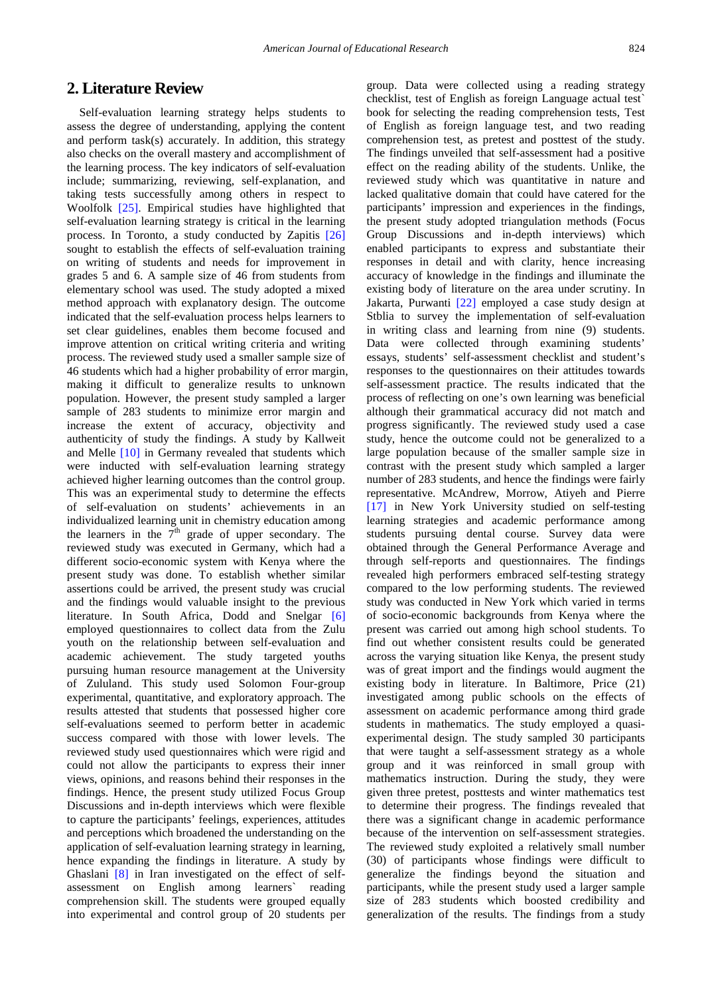# **2. Literature Review**

Self-evaluation learning strategy helps students to assess the degree of understanding, applying the content and perform task(s) accurately. In addition, this strategy also checks on the overall mastery and accomplishment of the learning process. The key indicators of self-evaluation include; summarizing, reviewing, self-explanation, and taking tests successfully among others in respect to Woolfolk [\[25\].](#page-5-10) Empirical studies have highlighted that self-evaluation learning strategy is critical in the learning process. In Toronto, a study conducted by Zapitis [\[26\]](#page-5-11) sought to establish the effects of self-evaluation training on writing of students and needs for improvement in grades 5 and 6. A sample size of 46 from students from elementary school was used. The study adopted a mixed method approach with explanatory design. The outcome indicated that the self-evaluation process helps learners to set clear guidelines, enables them become focused and improve attention on critical writing criteria and writing process. The reviewed study used a smaller sample size of 46 students which had a higher probability of error margin, making it difficult to generalize results to unknown population. However, the present study sampled a larger sample of 283 students to minimize error margin and increase the extent of accuracy, objectivity and authenticity of study the findings. A study by Kallweit and Melle [\[10\]](#page-5-12) in Germany revealed that students which were inducted with self-evaluation learning strategy achieved higher learning outcomes than the control group. This was an experimental study to determine the effects of self-evaluation on students' achievements in an individualized learning unit in chemistry education among the learners in the  $\bar{7}^{\text{th}}$  grade of upper secondary. The reviewed study was executed in Germany, which had a different socio-economic system with Kenya where the present study was done. To establish whether similar assertions could be arrived, the present study was crucial and the findings would valuable insight to the previous literature. In South Africa, Dodd and Snelgar [\[6\]](#page-5-13) employed questionnaires to collect data from the Zulu youth on the relationship between self-evaluation and academic achievement. The study targeted youths pursuing human resource management at the University of Zululand. This study used Solomon Four-group experimental, quantitative, and exploratory approach. The results attested that students that possessed higher core self-evaluations seemed to perform better in academic success compared with those with lower levels. The reviewed study used questionnaires which were rigid and could not allow the participants to express their inner views, opinions, and reasons behind their responses in the findings. Hence, the present study utilized Focus Group Discussions and in-depth interviews which were flexible to capture the participants' feelings, experiences, attitudes and perceptions which broadened the understanding on the application of self-evaluation learning strategy in learning, hence expanding the findings in literature. A study by Ghaslani [\[8\]](#page-5-14) in Iran investigated on the effect of selfassessment on English among learners` reading comprehension skill. The students were grouped equally into experimental and control group of 20 students per

group. Data were collected using a reading strategy checklist, test of English as foreign Language actual test` book for selecting the reading comprehension tests, Test of English as foreign language test, and two reading comprehension test, as pretest and posttest of the study. The findings unveiled that self-assessment had a positive effect on the reading ability of the students. Unlike, the reviewed study which was quantitative in nature and lacked qualitative domain that could have catered for the participants' impression and experiences in the findings, the present study adopted triangulation methods (Focus Group Discussions and in-depth interviews) which enabled participants to express and substantiate their responses in detail and with clarity, hence increasing accuracy of knowledge in the findings and illuminate the existing body of literature on the area under scrutiny. In Jakarta, Purwanti [\[22\]](#page-5-15) employed a case study design at Stblia to survey the implementation of self-evaluation in writing class and learning from nine (9) students. Data were collected through examining students' essays, students' self-assessment checklist and student's responses to the questionnaires on their attitudes towards self-assessment practice. The results indicated that the process of reflecting on one's own learning was beneficial although their grammatical accuracy did not match and progress significantly. The reviewed study used a case study, hence the outcome could not be generalized to a large population because of the smaller sample size in contrast with the present study which sampled a larger number of 283 students, and hence the findings were fairly representative. McAndrew, Morrow, Atiyeh and Pierre [\[17\]](#page-5-16) in New York University studied on self-testing learning strategies and academic performance among students pursuing dental course. Survey data were obtained through the General Performance Average and through self-reports and questionnaires. The findings revealed high performers embraced self-testing strategy compared to the low performing students. The reviewed study was conducted in New York which varied in terms of socio-economic backgrounds from Kenya where the present was carried out among high school students. To find out whether consistent results could be generated across the varying situation like Kenya, the present study was of great import and the findings would augment the existing body in literature. In Baltimore, Price (21) investigated among public schools on the effects of assessment on academic performance among third grade students in mathematics. The study employed a quasiexperimental design. The study sampled 30 participants that were taught a self-assessment strategy as a whole group and it was reinforced in small group with mathematics instruction. During the study, they were given three pretest, posttests and winter mathematics test to determine their progress. The findings revealed that there was a significant change in academic performance because of the intervention on self-assessment strategies. The reviewed study exploited a relatively small number (30) of participants whose findings were difficult to generalize the findings beyond the situation and participants, while the present study used a larger sample size of 283 students which boosted credibility and generalization of the results. The findings from a study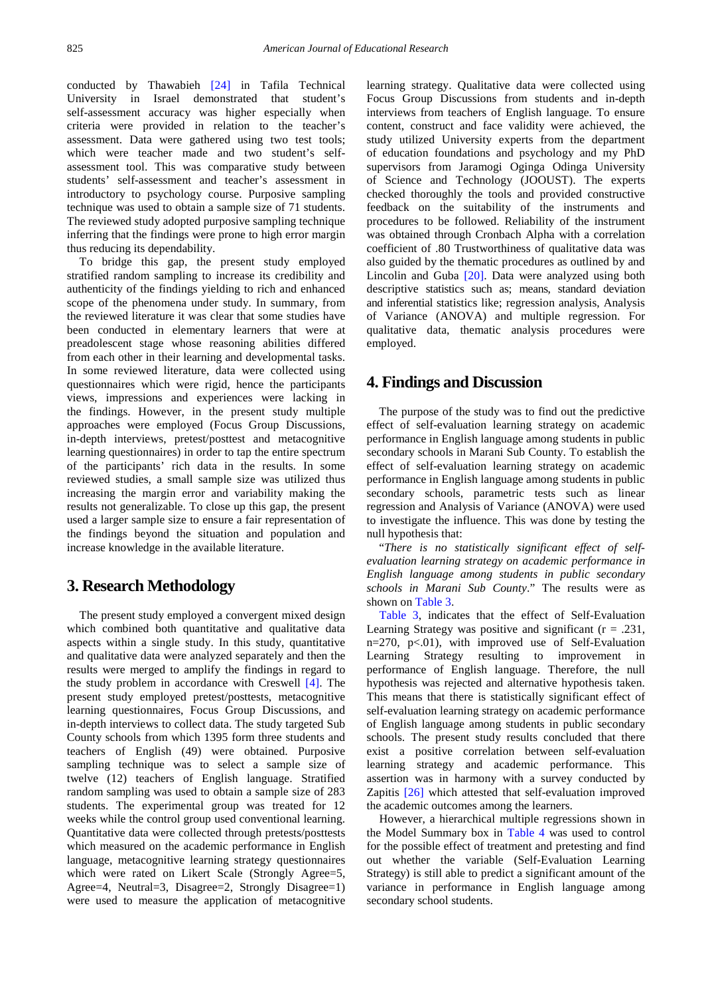conducted by Thawabieh [\[24\]](#page-5-17) in Tafila Technical University in Israel demonstrated that student's self-assessment accuracy was higher especially when criteria were provided in relation to the teacher's assessment. Data were gathered using two test tools; which were teacher made and two student's selfassessment tool. This was comparative study between students' self-assessment and teacher's assessment in introductory to psychology course. Purposive sampling technique was used to obtain a sample size of 71 students. The reviewed study adopted purposive sampling technique inferring that the findings were prone to high error margin thus reducing its dependability.

To bridge this gap, the present study employed stratified random sampling to increase its credibility and authenticity of the findings yielding to rich and enhanced scope of the phenomena under study. In summary, from the reviewed literature it was clear that some studies have been conducted in elementary learners that were at preadolescent stage whose reasoning abilities differed from each other in their learning and developmental tasks. In some reviewed literature, data were collected using questionnaires which were rigid, hence the participants views, impressions and experiences were lacking in the findings. However, in the present study multiple approaches were employed (Focus Group Discussions, in-depth interviews, pretest/posttest and metacognitive learning questionnaires) in order to tap the entire spectrum of the participants' rich data in the results. In some reviewed studies, a small sample size was utilized thus increasing the margin error and variability making the results not generalizable. To close up this gap, the present used a larger sample size to ensure a fair representation of the findings beyond the situation and population and increase knowledge in the available literature.

# **3. Research Methodology**

The present study employed a convergent mixed design which combined both quantitative and qualitative data aspects within a single study. In this study, quantitative and qualitative data were analyzed separately and then the results were merged to amplify the findings in regard to the study problem in accordance with Creswell [\[4\].](#page-5-18) The present study employed pretest/posttests, metacognitive learning questionnaires, Focus Group Discussions, and in-depth interviews to collect data. The study targeted Sub County schools from which 1395 form three students and teachers of English (49) were obtained. Purposive sampling technique was to select a sample size of twelve (12) teachers of English language. Stratified random sampling was used to obtain a sample size of 283 students. The experimental group was treated for 12 weeks while the control group used conventional learning. Quantitative data were collected through pretests/posttests which measured on the academic performance in English language, metacognitive learning strategy questionnaires which were rated on Likert Scale (Strongly Agree=5, Agree=4, Neutral=3, Disagree=2, Strongly Disagree=1) were used to measure the application of metacognitive learning strategy. Qualitative data were collected using Focus Group Discussions from students and in-depth interviews from teachers of English language. To ensure content, construct and face validity were achieved, the study utilized University experts from the department of education foundations and psychology and my PhD supervisors from Jaramogi Oginga Odinga University of Science and Technology (JOOUST). The experts checked thoroughly the tools and provided constructive feedback on the suitability of the instruments and procedures to be followed. Reliability of the instrument was obtained through Cronbach Alpha with a correlation coefficient of .80 Trustworthiness of qualitative data was also guided by the thematic procedures as outlined by and Lincolin and Guba [\[20\].](#page-5-4) Data were analyzed using both descriptive statistics such as; means, standard deviation and inferential statistics like; regression analysis, Analysis of Variance (ANOVA) and multiple regression. For qualitative data, thematic analysis procedures were employed.

## **4. Findings and Discussion**

The purpose of the study was to find out the predictive effect of self-evaluation learning strategy on academic performance in English language among students in public secondary schools in Marani Sub County. To establish the effect of self-evaluation learning strategy on academic performance in English language among students in public secondary schools, parametric tests such as linear regression and Analysis of Variance (ANOVA) were used to investigate the influence. This was done by testing the null hypothesis that:

"*There is no statistically significant effect of selfevaluation learning strategy on academic performance in English language among students in public secondary schools in Marani Sub County*." The results were as shown on [Table 3.](#page-4-0)

[Table 3,](#page-4-0) indicates that the effect of Self-Evaluation Learning Strategy was positive and significant  $(r = .231, ...)$  $n=270$ ,  $p<.01$ ), with improved use of Self-Evaluation Learning Strategy resulting to improvement in performance of English language. Therefore, the null hypothesis was rejected and alternative hypothesis taken. This means that there is statistically significant effect of self-evaluation learning strategy on academic performance of English language among students in public secondary schools. The present study results concluded that there exist a positive correlation between self-evaluation learning strategy and academic performance. This assertion was in harmony with a survey conducted by Zapitis [\[26\]](#page-5-11) which attested that self-evaluation improved the academic outcomes among the learners.

However, a hierarchical multiple regressions shown in the Model Summary box in [Table 4](#page-4-1) was used to control for the possible effect of treatment and pretesting and find out whether the variable (Self-Evaluation Learning Strategy) is still able to predict a significant amount of the variance in performance in English language among secondary school students.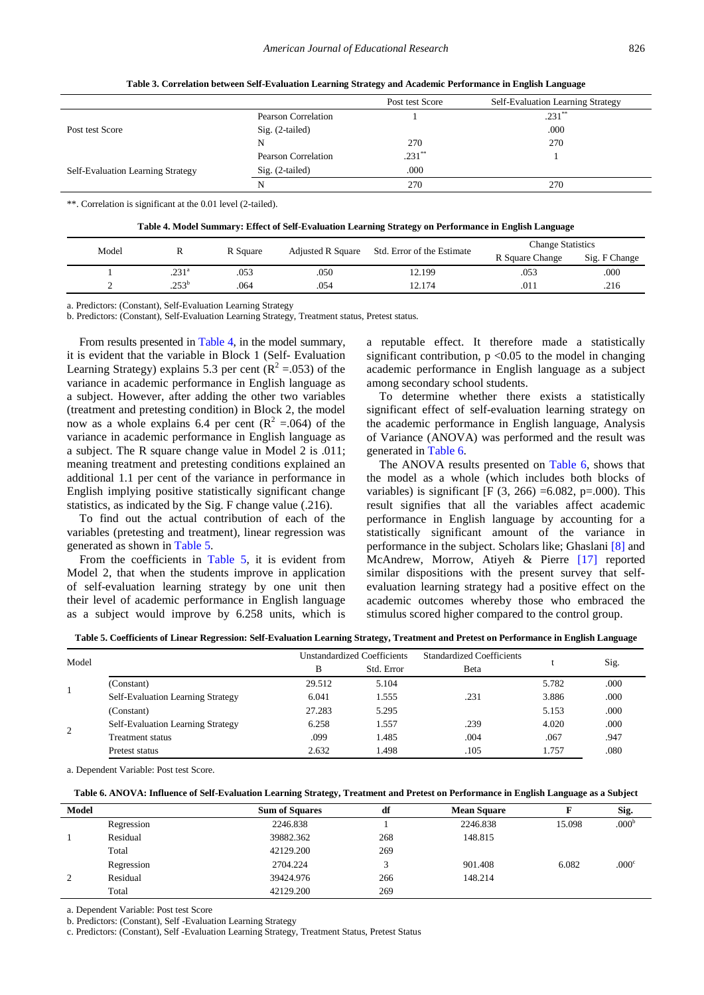<span id="page-4-0"></span>

|                                   |                     | Post test Score | Self-Evaluation Learning Strategy |
|-----------------------------------|---------------------|-----------------|-----------------------------------|
|                                   | Pearson Correlation |                 | $.231$ <sup>**</sup>              |
| Post test Score                   | Sig. (2-tailed)     |                 | .000                              |
|                                   | N                   | 270             | 270                               |
|                                   | Pearson Correlation | $.231$ **       |                                   |
| Self-Evaluation Learning Strategy | $Sig. (2-tailed)$   | .000            |                                   |
|                                   | N                   | 270             | 270                               |

**Table 3. Correlation between Self-Evaluation Learning Strategy and Academic Performance in English Language**

\*\*. Correlation is significant at the 0.01 level (2-tailed).

| Table 4. Model Summary: Effect of Self-Evaluation Learning Strategy on Performance in English Language |  |  |  |  |
|--------------------------------------------------------------------------------------------------------|--|--|--|--|
|--------------------------------------------------------------------------------------------------------|--|--|--|--|

<span id="page-4-1"></span>

| Model | R Square          |      |                          |                            | <b>Change Statistics</b> |               |  |
|-------|-------------------|------|--------------------------|----------------------------|--------------------------|---------------|--|
|       |                   |      | <b>Adjusted R Square</b> | Std. Error of the Estimate | R Square Change          | Sig. F Change |  |
|       | .231 <sup>a</sup> | 053  | .050                     | 12.199                     | .053                     | .000          |  |
|       | $.253^{\rm b}$    | .064 | .054                     | 2.174                      | .011                     | .216          |  |

a. Predictors: (Constant), Self-Evaluation Learning Strategy

b. Predictors: (Constant), Self-Evaluation Learning Strategy, Treatment status, Pretest status.

From results presented in [Table 4,](#page-4-1) in the model summary, it is evident that the variable in Block 1 (Self- Evaluation Learning Strategy) explains 5.3 per cent ( $R^2 = .053$ ) of the variance in academic performance in English language as a subject. However, after adding the other two variables (treatment and pretesting condition) in Block 2, the model now as a whole explains 6.4 per cent  $(R^2 = 0.064)$  of the variance in academic performance in English language as a subject. The R square change value in Model 2 is .011; meaning treatment and pretesting conditions explained an additional 1.1 per cent of the variance in performance in English implying positive statistically significant change statistics, as indicated by the Sig. F change value (.216).

To find out the actual contribution of each of the variables (pretesting and treatment), linear regression was generated as shown in [Table 5.](#page-4-2)

From the coefficients in [Table 5,](#page-4-2) it is evident from Model 2, that when the students improve in application of self-evaluation learning strategy by one unit then their level of academic performance in English language as a subject would improve by 6.258 units, which is

a reputable effect. It therefore made a statistically significant contribution,  $p \le 0.05$  to the model in changing academic performance in English language as a subject among secondary school students.

To determine whether there exists a statistically significant effect of self-evaluation learning strategy on the academic performance in English language, Analysis of Variance (ANOVA) was performed and the result was generated in [Table 6.](#page-4-3)

The ANOVA results presented on [Table 6,](#page-4-3) shows that the model as a whole (which includes both blocks of variables) is significant [F  $(3, 266) = 6.082$ , p=.000). This result signifies that all the variables affect academic performance in English language by accounting for a statistically significant amount of the variance in performance in the subject. Scholars like; Ghaslani [\[8\]](#page-5-14) and McAndrew, Morrow, Atiyeh & Pierre [\[17\]](#page-5-16) reported similar dispositions with the present survey that selfevaluation learning strategy had a positive effect on the academic outcomes whereby those who embraced the stimulus scored higher compared to the control group.

**Table 5. Coefficients of Linear Regression: Self-Evaluation Learning Strategy, Treatment and Pretest on Performance in English Language**

<span id="page-4-2"></span>

| Model |                                          | B      | <b>Unstandardized Coefficients</b><br>Std. Error | <b>Standardized Coefficients</b><br>Beta |       | Sig. |
|-------|------------------------------------------|--------|--------------------------------------------------|------------------------------------------|-------|------|
|       |                                          |        |                                                  |                                          | 5.782 |      |
|       | (Constant)                               | 29.512 | 5.104                                            |                                          |       | .000 |
|       | <b>Self-Evaluation Learning Strategy</b> | 6.041  | .555                                             | .231                                     | 3.886 | .000 |
|       | (Constant)                               | 27.283 | 5.295                                            |                                          | 5.153 | .000 |
| 2     | <b>Self-Evaluation Learning Strategy</b> | 6.258  | .557                                             | .239                                     | 4.020 | .000 |
|       | Treatment status                         | .099   | .485                                             | .004                                     | .067  | .947 |
|       | Pretest status                           | 2.632  | .498                                             | .105                                     | 1.757 | .080 |

a. Dependent Variable: Post test Score.

| Table 6. ANOVA: Influence of Self-Evaluation Learning Strategy, Treatment and Pretest on Performance in English Language as a Subject |  |  |
|---------------------------------------------------------------------------------------------------------------------------------------|--|--|
|                                                                                                                                       |  |  |

<span id="page-4-3"></span>

| Model |            | <b>Sum of Squares</b> | df  | <b>Mean Square</b> |        | Sig.              |
|-------|------------|-----------------------|-----|--------------------|--------|-------------------|
|       | Regression | 2246.838              |     | 2246.838           | 15.098 | .000 <sup>b</sup> |
|       | Residual   | 39882.362             | 268 | 148.815            |        |                   |
|       | Total      | 42129.200             | 269 |                    |        |                   |
|       | Regression | 2704.224              |     | 901.408            | 6.082  | .000 <sup>c</sup> |
| 2     | Residual   | 39424.976             | 266 | 148.214            |        |                   |
|       | Total      | 42129.200             | 269 |                    |        |                   |

a. Dependent Variable: Post test Score

b. Predictors: (Constant), Self -Evaluation Learning Strategy

c. Predictors: (Constant), Self -Evaluation Learning Strategy, Treatment Status, Pretest Status